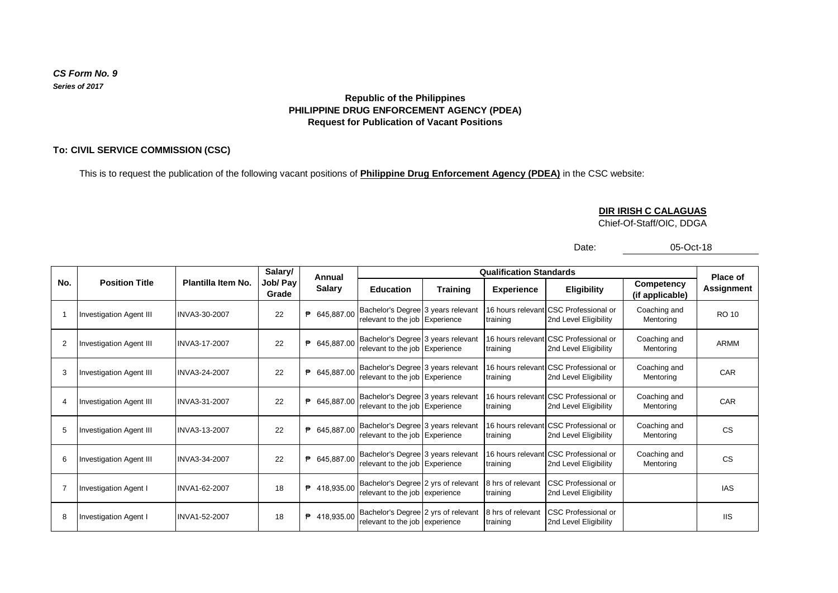## *CS Form No. 9 Series of 2017*

### **Request for Publication of Vacant Positions Republic of the Philippines PHILIPPINE DRUG ENFORCEMENT AGENCY (PDEA)**

# **To: CIVIL SERVICE COMMISSION (CSC)**

This is to request the publication of the following vacant positions of **Philippine Drug Enforcement Agency (PDEA)** in the CSC website:

#### **DIR IRISH C CALAGUAS**

Chief-Of-Staff/OIC, DDGA

Date:

05-Oct-18

|                | <b>Position Title</b>          | Plantilla Item No. | Salary/<br>Job/ Pav<br>Grade | Annual<br><b>Salary</b> |                                                                       | Place of        |                               |                                                                |                                      |                   |
|----------------|--------------------------------|--------------------|------------------------------|-------------------------|-----------------------------------------------------------------------|-----------------|-------------------------------|----------------------------------------------------------------|--------------------------------------|-------------------|
| No.            |                                |                    |                              |                         | <b>Education</b>                                                      | <b>Training</b> | <b>Experience</b>             | <b>Eligibility</b>                                             | <b>Competency</b><br>(if applicable) | <b>Assignment</b> |
|                | <b>Investigation Agent III</b> | INVA3-30-2007      | 22                           | 645,887.00              | Bachelor's Degree 3 years relevant<br>relevant to the job Experience  |                 | 16 hours relevant<br>training | <b>CSC Professional or</b><br>2nd Level Eligibility            | Coaching and<br>Mentoring            | <b>RO 10</b>      |
| $\overline{2}$ | <b>Investigation Agent III</b> | INVA3-17-2007      | 22                           | 645,887.00<br>₱         | Bachelor's Degree 3 years relevant<br>relevant to the job Experience  |                 | 16 hours relevant<br>training | CSC Professional or<br>2nd Level Eligibility                   | Coaching and<br>Mentoring            | ARMM              |
| 3              | <b>Investigation Agent III</b> | INVA3-24-2007      | 22                           | 645,887.00<br>₱         | Bachelor's Degree 3 years relevant<br>relevant to the job Experience  |                 | training                      | 16 hours relevant CSC Professional or<br>2nd Level Eligibility | Coaching and<br>Mentoring            | <b>CAR</b>        |
| 4              | <b>Investigation Agent III</b> | INVA3-31-2007      | 22                           | 645,887.00<br>₱         | Bachelor's Degree 3 years relevant<br>relevant to the job Experience  |                 | training                      | 16 hours relevant CSC Professional or<br>2nd Level Eligibility | Coaching and<br>Mentoring            | CAR               |
| 5              | <b>Investigation Agent III</b> | INVA3-13-2007      | 22                           | 645,887.00<br>₱         | Bachelor's Degree 3 years relevant<br>relevant to the job Experience  |                 | training                      | 16 hours relevant CSC Professional or<br>2nd Level Eligibility | Coaching and<br>Mentoring            | <b>CS</b>         |
| 6              | <b>Investigation Agent III</b> | INVA3-34-2007      | 22                           | 645,887.00<br>₱         | Bachelor's Degree 3 years relevant<br>relevant to the job Experience  |                 | 16 hours relevant<br>training | CSC Professional or<br>2nd Level Eligibility                   | Coaching and<br>Mentoring            | <b>CS</b>         |
| $\overline{7}$ | <b>Investigation Agent I</b>   | INVA1-62-2007      | 18                           | 418,935.00<br>₱         | Bachelor's Degree 2 yrs of relevant<br>relevant to the job experience |                 | 8 hrs of relevant<br>training | <b>CSC Professional or</b><br>2nd Level Eligibility            |                                      | <b>IAS</b>        |
| 8              | <b>Investigation Agent I</b>   | INVA1-52-2007      | 18                           | 418,935.00<br>₱         | Bachelor's Degree 2 yrs of relevant<br>relevant to the job experience |                 | 8 hrs of relevant<br>training | CSC Professional or<br>2nd Level Eligibility                   |                                      | <b>IIS</b>        |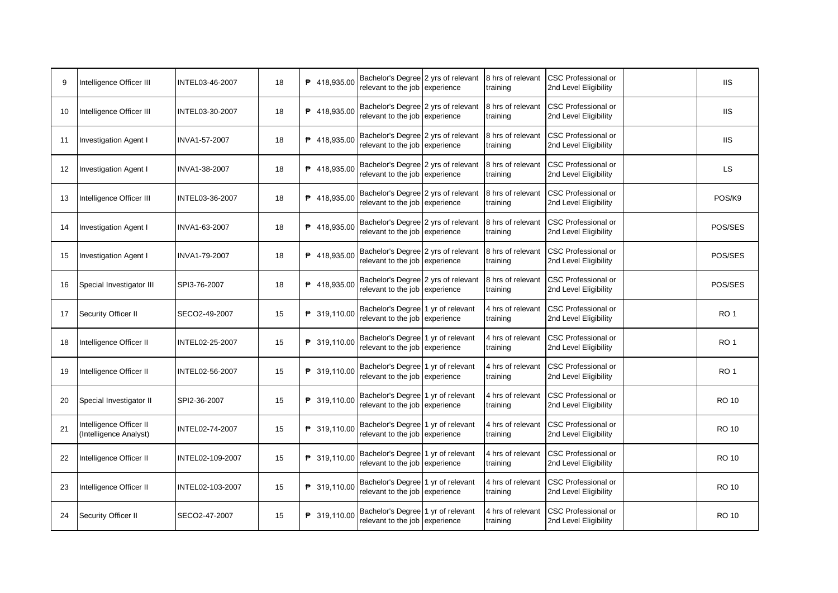| 9  | Intelligence Officer III                          | INTEL03-46-2007  | 18 | ₱ 418,935.00 | Bachelor's Degree 2 yrs of relevant<br>relevant to the job experience | 8 hrs of relevant<br>training | <b>CSC Professional or</b><br>2nd Level Eligibility | <b>IIS</b>      |
|----|---------------------------------------------------|------------------|----|--------------|-----------------------------------------------------------------------|-------------------------------|-----------------------------------------------------|-----------------|
| 10 | Intelligence Officer III                          | INTEL03-30-2007  | 18 | ₹ 418,935.00 | Bachelor's Degree 2 yrs of relevant<br>relevant to the job experience | 8 hrs of relevant<br>training | <b>CSC Professional or</b><br>2nd Level Eligibility | <b>IIS</b>      |
| 11 | <b>Investigation Agent I</b>                      | INVA1-57-2007    | 18 | ₱ 418,935.00 | Bachelor's Degree 2 yrs of relevant<br>relevant to the job experience | 8 hrs of relevant<br>training | CSC Professional or<br>2nd Level Eligibility        | <b>IIS</b>      |
| 12 | <b>Investigation Agent I</b>                      | INVA1-38-2007    | 18 | ₱ 418,935.00 | Bachelor's Degree 2 yrs of relevant<br>relevant to the job experience | 8 hrs of relevant<br>training | <b>CSC Professional or</b><br>2nd Level Eligibility | LS              |
| 13 | Intelligence Officer III                          | INTEL03-36-2007  | 18 | ₱ 418,935.00 | Bachelor's Degree 2 yrs of relevant<br>relevant to the job experience | 8 hrs of relevant<br>training | <b>CSC Professional or</b><br>2nd Level Eligibility | POS/K9          |
| 14 | <b>Investigation Agent I</b>                      | INVA1-63-2007    | 18 | ₱ 418,935.00 | Bachelor's Degree 2 yrs of relevant<br>relevant to the job experience | 8 hrs of relevant<br>training | CSC Professional or<br>2nd Level Eligibility        | POS/SES         |
| 15 | <b>Investigation Agent I</b>                      | INVA1-79-2007    | 18 | ₱ 418,935.00 | Bachelor's Degree 2 yrs of relevant<br>relevant to the job experience | 8 hrs of relevant<br>training | <b>CSC Professional or</b><br>2nd Level Eligibility | POS/SES         |
| 16 | Special Investigator III                          | SPI3-76-2007     | 18 | ₱ 418.935.00 | Bachelor's Degree 2 yrs of relevant<br>relevant to the job experience | 8 hrs of relevant<br>training | <b>CSC Professional or</b><br>2nd Level Eligibility | POS/SES         |
| 17 | Security Officer II                               | SECO2-49-2007    | 15 | ₱ 319.110.00 | Bachelor's Degree 1 yr of relevant<br>relevant to the job experience  | 4 hrs of relevant<br>training | <b>CSC Professional or</b><br>2nd Level Eligibility | <b>RO1</b>      |
| 18 | Intelligence Officer II                           | INTEL02-25-2007  | 15 | ₱ 319,110.00 | Bachelor's Degree 1 yr of relevant<br>relevant to the job experience  | 4 hrs of relevant<br>training | <b>CSC Professional or</b><br>2nd Level Eligibility | RO <sub>1</sub> |
| 19 | Intelligence Officer II                           | INTEL02-56-2007  | 15 | ₱ 319.110.00 | Bachelor's Degree 1 yr of relevant<br>relevant to the job experience  | 4 hrs of relevant<br>training | <b>CSC Professional or</b><br>2nd Level Eligibility | RO <sub>1</sub> |
| 20 | Special Investigator II                           | SPI2-36-2007     | 15 | ₱ 319.110.00 | Bachelor's Degree 1 yr of relevant<br>relevant to the job experience  | 4 hrs of relevant<br>training | CSC Professional or<br>2nd Level Eligibility        | <b>RO 10</b>    |
| 21 | Intelligence Officer II<br>(Intelligence Analyst) | INTEL02-74-2007  | 15 | ₱ 319,110.00 | Bachelor's Degree 1 yr of relevant<br>relevant to the job experience  | 4 hrs of relevant<br>training | <b>CSC Professional or</b><br>2nd Level Eligibility | <b>RO 10</b>    |
| 22 | Intelligence Officer II                           | INTEL02-109-2007 | 15 | ₱ 319,110.00 | Bachelor's Degree 1 yr of relevant<br>relevant to the job experience  | 4 hrs of relevant<br>training | <b>CSC Professional or</b><br>2nd Level Eligibility | RO 10           |
| 23 | Intelligence Officer II                           | INTEL02-103-2007 | 15 | ₱ 319,110.00 | Bachelor's Degree 1 yr of relevant<br>relevant to the job experience  | 4 hrs of relevant<br>training | <b>CSC Professional or</b><br>2nd Level Eligibility | <b>RO 10</b>    |
| 24 | Security Officer II                               | SECO2-47-2007    | 15 | ₱ 319.110.00 | Bachelor's Degree 1 yr of relevant<br>relevant to the job experience  | 4 hrs of relevant<br>training | <b>CSC Professional or</b><br>2nd Level Eligibility | RO 10           |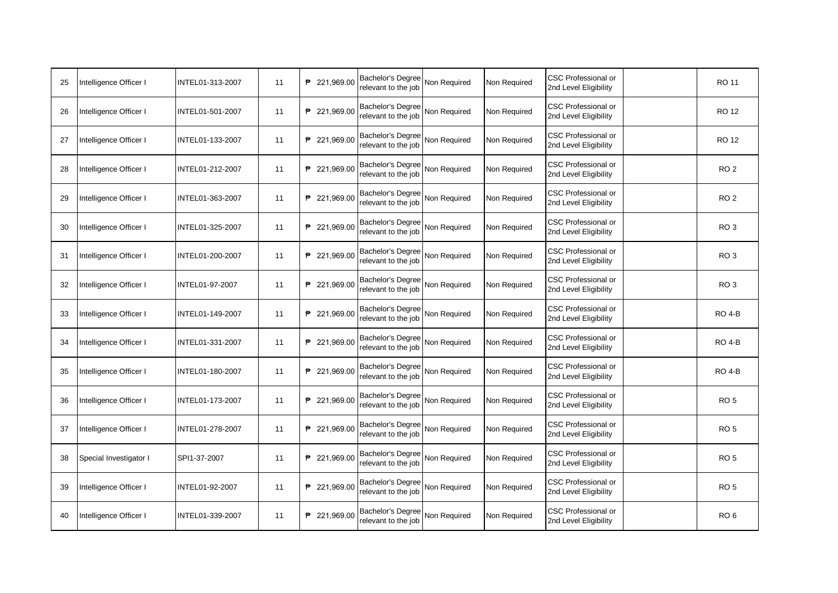| 25 | Intelligence Officer I | INTEL01-313-2007 | 11 | ₱ 221,969.00 | Bachelor's Degree<br>relevant to the job        | Non Required | Non Required | CSC Professional or<br>2nd Level Eligibility        | RO 11           |
|----|------------------------|------------------|----|--------------|-------------------------------------------------|--------------|--------------|-----------------------------------------------------|-----------------|
| 26 | Intelligence Officer I | INTEL01-501-2007 | 11 | ₱ 221,969.00 | <b>Bachelor's Degree</b><br>relevant to the job | Non Required | Non Required | CSC Professional or<br>2nd Level Eligibility        | <b>RO 12</b>    |
| 27 | Intelligence Officer I | INTEL01-133-2007 | 11 | ₱ 221,969.00 | Bachelor's Degree<br>relevant to the job        | Non Required | Non Required | <b>CSC Professional or</b><br>2nd Level Eligibility | RO 12           |
| 28 | Intelligence Officer I | INTEL01-212-2007 | 11 | ₱ 221,969.00 | Bachelor's Degree<br>relevant to the job        | Non Required | Non Required | <b>CSC Professional or</b><br>2nd Level Eligibility | RO <sub>2</sub> |
| 29 | Intelligence Officer I | INTEL01-363-2007 | 11 | ₱ 221,969.00 | <b>Bachelor's Degree</b><br>relevant to the job | Non Required | Non Required | CSC Professional or<br>2nd Level Eligibility        | RO <sub>2</sub> |
| 30 | Intelligence Officer I | INTEL01-325-2007 | 11 | ₱ 221,969.00 | Bachelor's Degree<br>relevant to the job        | Non Required | Non Required | CSC Professional or<br>2nd Level Eligibility        | RO <sub>3</sub> |
| 31 | Intelligence Officer I | INTEL01-200-2007 | 11 | ₱ 221,969.00 | Bachelor's Degree<br>relevant to the job        | Non Required | Non Required | CSC Professional or<br>2nd Level Eligibility        | RO <sub>3</sub> |
| 32 | Intelligence Officer I | INTEL01-97-2007  | 11 | ₱ 221,969.00 | Bachelor's Degree<br>relevant to the job        | Non Required | Non Required | <b>CSC Professional or</b><br>2nd Level Eligibility | RO <sub>3</sub> |
| 33 | Intelligence Officer I | INTEL01-149-2007 | 11 | ₱ 221,969.00 | <b>Bachelor's Degree</b><br>relevant to the job | Non Required | Non Required | CSC Professional or<br>2nd Level Eligibility        | <b>RO 4-B</b>   |
| 34 | Intelligence Officer I | INTEL01-331-2007 | 11 | ₱ 221,969.00 | Bachelor's Degree<br>relevant to the job        | Non Required | Non Required | CSC Professional or<br>2nd Level Eligibility        | <b>RO 4-B</b>   |
| 35 | Intelligence Officer I | INTEL01-180-2007 | 11 | ₱ 221,969.00 | Bachelor's Degree<br>relevant to the job        | Non Required | Non Required | <b>CSC Professional or</b><br>2nd Level Eligibility | <b>RO 4-B</b>   |
| 36 | Intelligence Officer I | INTEL01-173-2007 | 11 | ₱ 221,969.00 | Bachelor's Degree<br>relevant to the job        | Non Required | Non Required | CSC Professional or<br>2nd Level Eligibility        | RO <sub>5</sub> |
| 37 | Intelligence Officer I | INTEL01-278-2007 | 11 | ₱ 221,969.00 | <b>Bachelor's Degree</b><br>relevant to the job | Non Required | Non Required | CSC Professional or<br>2nd Level Eligibility        | RO <sub>5</sub> |
| 38 | Special Investigator I | SPI1-37-2007     | 11 | ₱ 221,969.00 | Bachelor's Degree<br>relevant to the job        | Non Required | Non Required | <b>CSC Professional or</b><br>2nd Level Eligibility | RO <sub>5</sub> |
| 39 | Intelligence Officer I | INTEL01-92-2007  | 11 | ₱ 221,969.00 | Bachelor's Degree<br>relevant to the job        | Non Required | Non Required | <b>CSC Professional or</b><br>2nd Level Eligibility | RO <sub>5</sub> |
| 40 | Intelligence Officer I | INTEL01-339-2007 | 11 | ₱ 221,969.00 | Bachelor's Degree<br>relevant to the job        | Non Required | Non Required | <b>CSC Professional or</b><br>2nd Level Eligibility | RO <sub>6</sub> |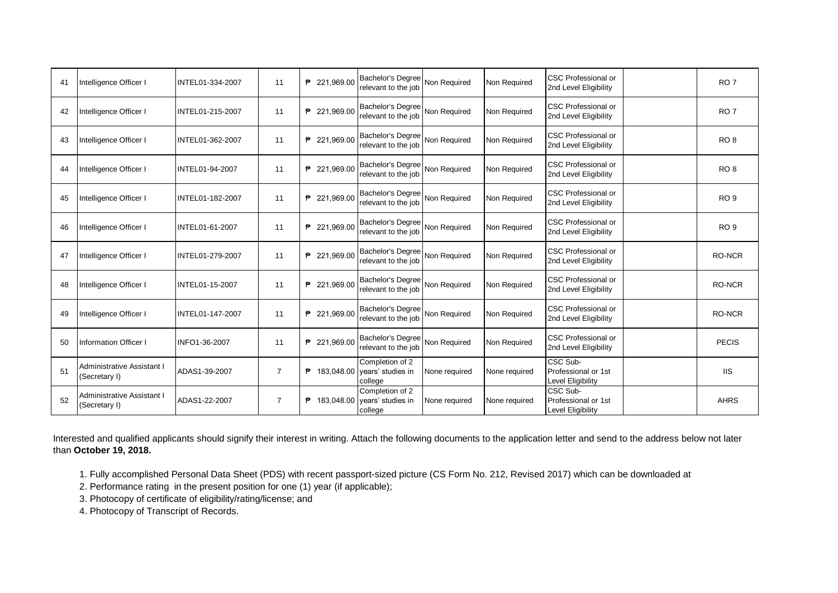| 41 | Intelligence Officer I                      | INTEL01-334-2007       | 11             | 221.969.00<br>₱ | Bachelor's Degree<br>relevant to the job        | Non Required  | Non Required  | CSC Professional or<br>2nd Level Eligibility         | RO <sub>7</sub> |
|----|---------------------------------------------|------------------------|----------------|-----------------|-------------------------------------------------|---------------|---------------|------------------------------------------------------|-----------------|
| 42 | Intelligence Officer I                      | INTEL01-215-2007       | 11             | ₱ 221,969.00    | Bachelor's Degree<br>relevant to the job        | Non Required  | Non Required  | <b>CSC Professional or</b><br>2nd Level Eligibility  | RO <sub>7</sub> |
| 43 | Intelligence Officer I                      | INTEL01-362-2007       | 11             | ₱ 221,969.00    | Bachelor's Degree<br>relevant to the job        | Non Required  | Non Required  | <b>CSC Professional or</b><br>2nd Level Eligibility  | RO <sub>8</sub> |
| 44 | Intelligence Officer I                      | INTEL01-94-2007        | 11             | 221,969.00<br>₱ | Bachelor's Degree<br>relevant to the job        | Non Required  | Non Required  | <b>CSC Professional or</b><br>2nd Level Eligibility  | RO <sub>8</sub> |
| 45 | Intelligence Officer I                      | INTEL01-182-2007       | 11             | ₱ 221,969.00    | Bachelor's Degree<br>relevant to the job        | Non Required  | Non Required  | <b>CSC Professional or</b><br>2nd Level Eligibility  | RO <sub>9</sub> |
| 46 | Intelligence Officer I                      | INTEL01-61-2007        | 11             | 221,969.00<br>₱ | Bachelor's Degree<br>relevant to the job        | Non Required  | Non Required  | <b>CSC Professional or</b><br>2nd Level Eligibility  | RO <sub>9</sub> |
| 47 | Intelligence Officer I                      | INTEL01-279-2007       | 11             | 221,969.00<br>₱ | Bachelor's Degree<br>relevant to the job        | Non Required  | Non Required  | <b>CSC Professional or</b><br>2nd Level Eligibility  | RO-NCR          |
| 48 | Intelligence Officer I                      | <b>INTEL01-15-2007</b> | 11             | 221,969.00<br>₱ | Bachelor's Degree<br>relevant to the job        | Non Required  | Non Required  | CSC Professional or<br>2nd Level Eligibility         | RO-NCR          |
| 49 | Intelligence Officer I                      | INTEL01-147-2007       | 11             | ₱ 221,969.00    | Bachelor's Degree<br>relevant to the job        | Non Required  | Non Required  | <b>CSC Professional or</b><br>2nd Level Eligibility  | RO-NCR          |
| 50 | <b>Information Officer I</b>                | INFO1-36-2007          | 11             | ₱ 221,969.00    | Bachelor's Degree<br>relevant to the job        | Non Required  | Non Required  | CSC Professional or<br>2nd Level Eligibility         | <b>PECIS</b>    |
| 51 | Administrative Assistant I<br>(Secretary I) | ADAS1-39-2007          | $\overline{7}$ | 183,048.00<br>₱ | Completion of 2<br>years' studies in<br>college | None required | None required | CSC Sub-<br>Professional or 1st<br>Level Eligibility | <b>IIS</b>      |
| 52 | Administrative Assistant I<br>(Secretary I) | ADAS1-22-2007          | 7              | 183,048.00<br>₱ | Completion of 2<br>years' studies in<br>college | None required | None required | CSC Sub-<br>Professional or 1st<br>Level Eligibility | <b>AHRS</b>     |

Interested and qualified applicants should signify their interest in writing. Attach the following documents to the application letter and send to the address below not later than **October 19, 2018.**

1. Fully accomplished Personal Data Sheet (PDS) with recent passport-sized picture (CS Form No. 212, Revised 2017) which can be downloaded at

2. Performance rating in the present position for one (1) year (if applicable);

3. Photocopy of certificate of eligibility/rating/license; and

4. Photocopy of Transcript of Records.